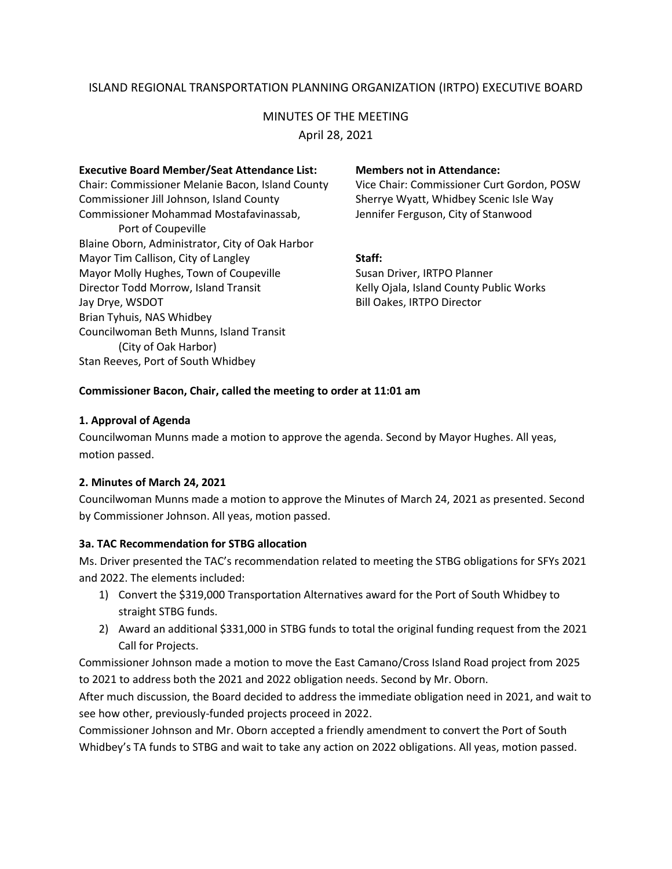# ISLAND REGIONAL TRANSPORTATION PLANNING ORGANIZATION (IRTPO) EXECUTIVE BOARD

# MINUTES OF THE MEETING

April 28, 2021

#### **Executive Board Member/Seat Attendance List: Members not in Attendance:**

Chair: Commissioner Melanie Bacon, Island County Vice Chair: Commissioner Curt Gordon, POSW Commissioner Jill Johnson, Island County Sherrye Wyatt, Whidbey Scenic Isle Way Commissioner Mohammad Mostafavinassab, Jennifer Ferguson, City of Stanwood Port of Coupeville Blaine Oborn, Administrator, City of Oak Harbor Mayor Tim Callison, City of Langley **Staff:** Mayor Molly Hughes, Town of Coupeville Susan Driver, IRTPO Planner Director Todd Morrow, Island Transit Kelly Ojala, Island County Public Works Jay Drye, WSDOT **Bill Oakes**, IRTPO Director Brian Tyhuis, NAS Whidbey Councilwoman Beth Munns, Island Transit (City of Oak Harbor) Stan Reeves, Port of South Whidbey

#### **Commissioner Bacon, Chair, called the meeting to order at 11:01 am**

#### **1. Approval of Agenda**

Councilwoman Munns made a motion to approve the agenda. Second by Mayor Hughes. All yeas, motion passed.

### **2. Minutes of March 24, 2021**

Councilwoman Munns made a motion to approve the Minutes of March 24, 2021 as presented. Second by Commissioner Johnson. All yeas, motion passed.

### **3a. TAC Recommendation for STBG allocation**

Ms. Driver presented the TAC's recommendation related to meeting the STBG obligations for SFYs 2021 and 2022. The elements included:

- 1) Convert the \$319,000 Transportation Alternatives award for the Port of South Whidbey to straight STBG funds.
- 2) Award an additional \$331,000 in STBG funds to total the original funding request from the 2021 Call for Projects.

Commissioner Johnson made a motion to move the East Camano/Cross Island Road project from 2025 to 2021 to address both the 2021 and 2022 obligation needs. Second by Mr. Oborn.

After much discussion, the Board decided to address the immediate obligation need in 2021, and wait to see how other, previously-funded projects proceed in 2022.

Commissioner Johnson and Mr. Oborn accepted a friendly amendment to convert the Port of South Whidbey's TA funds to STBG and wait to take any action on 2022 obligations. All yeas, motion passed.